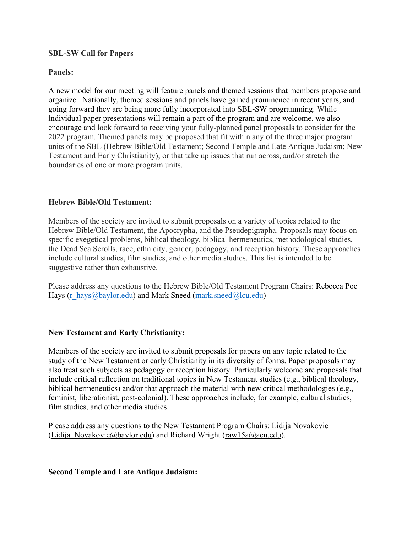#### **SBL-SW Call for Papers**

## **Panels:**

A new model for our meeting will feature panels and themed sessions that members propose and organize. Nationally, themed sessions and panels have gained prominence in recent years, and going forward they are being more fully incorporated into SBL-SW programming. While **i**ndividual paper presentations will remain a part of the program and are welcome, we also encourage and look forward to receiving your fully-planned panel proposals to consider for the 2022 program. Themed panels may be proposed that fit within any of the three major program units of the SBL (Hebrew Bible/Old Testament; Second Temple and Late Antique Judaism; New Testament and Early Christianity); or that take up issues that run across, and/or stretch the boundaries of one or more program units.

## **Hebrew Bible/Old Testament:**

Members of the society are invited to submit proposals on a variety of topics related to the Hebrew Bible/Old Testament, the Apocrypha, and the Pseudepigrapha. Proposals may focus on specific exegetical problems, biblical theology, biblical hermeneutics, methodological studies, the Dead Sea Scrolls, race, ethnicity, gender, pedagogy, and reception history. These approaches include cultural studies, film studies, and other media studies. This list is intended to be suggestive rather than exhaustive.

Please address any questions to the Hebrew Bible/Old Testament Program Chairs: Rebecca Poe Hays [\(r\\_hays@baylor.edu\)](mailto:r_hays@baylor.edu) and Mark Sneed [\(mark.sneed@lcu.edu\)](mailto:mark.sneed@lcu.edu)

# **New Testament and Early Christianity:**

Members of the society are invited to submit proposals for papers on any topic related to the study of the New Testament or early Christianity in its diversity of forms. Paper proposals may also treat such subjects as pedagogy or reception history. Particularly welcome are proposals that include critical reflection on traditional topics in New Testament studies (e.g., biblical theology, biblical hermeneutics) and/or that approach the material with new critical methodologies (e.g., feminist, liberationist, post-colonial). These approaches include, for example, cultural studies, film studies, and other media studies.

Please address any questions to the New Testament Program Chairs: Lidija Novakovic (Lidija Novakovic@baylor.edu) and Richard Wright [\(raw15a@acu.edu\)](mailto:raw15a@acu.edu).

#### **Second Temple and Late Antique Judaism:**